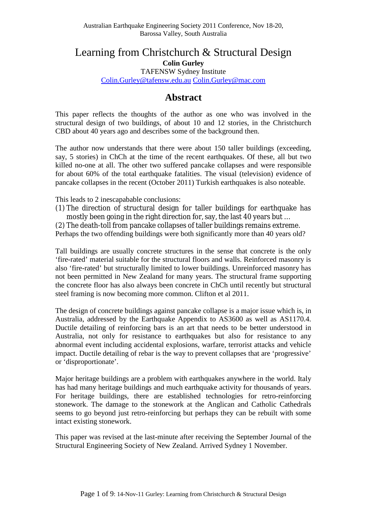# Learning from Christchurch & Structural Design

Colin Gurley TAFENSW Sydney Institute Colin[.Gurley@tafensw.edu.a](mailto:Gurley@tafensw.edu.au)uplin[.Gurley@mac.com](mailto:Gurley@mac.com)

#### Abstract

This paper reflects the thoughts of the author as one who was involved in the structural design of two buildings, of about 10 and 12 stories, in the Christchurch CBD about 40 years ago and describes some of the background then.

The author now understands that there were utility taller buildings (exceeding, say, 5 stories) in ChCh at the time of the recent earthquakes. Of these, all but two killed no-one at all. The other two suffered pancake collapses and were responsible for about 60% of the total earthquake fatalities visual (television) evidence of pancake collapses in the recent (October 2011) Turkish earthquakes is also noteable.

This leads to 2 inescapabable conclusions:

(1) The direction of structural design for taller buildings for earthquake has mostly been going in the right direction for, say, the last 40 years but  $\epsilon$ 

(2) The death-toll from pancake collapses of taller buildings remains extreme. Perhaps the two offending buildings were both significantly more than 40 years old?

Tall buildings are usually concreteructures in the sense that concrete is the only €firerated• material suitable for the structural floors and walls. Reinforced masonry is also €fireated• but structurally limited to lower buildings. Unreinforced masonry has not been permitted in New Zead for many years. The structural frame supporting the concrete floor has also always been concrete in ChCh until recently but structural steel framing is now becoming more common. Clifton et al 2011.

The design of concrete buildings against pancalled and is a major issue which is, in Australia, addressed by the Earthquake Appendix to AS3600 as well as AS1170.4. Ductile detailing of reinforcing bars is an art that needs to be better understood in Australia, not only for resistance to earthquakes but a for resistance to any abnormal event including accidental explosions, warfare, terrorist attacks and vehicle impact. Ductile detailing of rebar is the way to prevent collapses that are €progressive• or €disproportionate•.

Major heritage buildings are problem with earthquakes anywhere in the world. Italy has had many heritage buildings and much earthquake activity for thousands of years. For heritage buildings, there are established technologies for-reinforcing stonework. The damage to the stood at the Anglican and Catholic Cathedrals seems to go beyond just retreinforcing but perhaps they can be rebuilt with some intact existing stonework.

This paper was revised at the last rute after receiving the September Journal of the Structural Engineering Society of New Zealand. Arrived Sydney 1 November.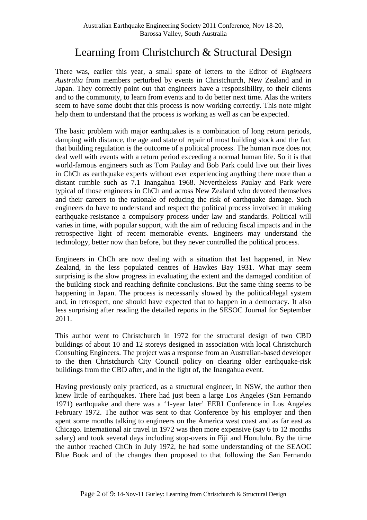# Learning from Christchurch & Structural Design

There was, earlier this year, a small spate of letters to the Editor of *Engineers Australia* from members perturbed by events in Christchurch, New Zealand and in Japan. They correctly point out that engineers have a responsibility, to their clients and to the community, to learn from events and to do better next time. Alas the writers seem to have some doubt that this process is now working correctly. This note might help them to understand that the process is working as well as can be expected.

The basic problem with major earthquakes is a combination of long return periods, damping with distance, the age and state of repair of most building stock and the fact that building regulation is the outcome of a political process. The human race does not deal well with events with a return period exceeding a normal human life. So it is that world-famous engineers such as Tom Paulay and Bob Park could live out their lives in ChCh as earthquake experts without ever experiencing anything there more than a distant rumble such as 7.1 Inangahua 1968. Nevertheless Paulay and Park were typical of those engineers in ChCh and across New Zealand who devoted themselves and their careers to the rationale of reducing the risk of earthquake damage. Such engineers do have to understand and respect the political process involved in making earthquake-resistance a compulsory process under law and standards. Political will varies in time, with popular support, with the aim of reducing fiscal impacts and in the retrospective light of recent memorable events. Engineers may understand the technology, better now than before, but they never controlled the political process.

Engineers in ChCh are now dealing with a situation that last happened, in New Zealand, in the less populated centres of Hawkes Bay 1931. What may seem surprising is the slow progress in evaluating the extent and the damaged condition of the building stock and reaching definite conclusions. But the same thing seems to be happening in Japan. The process is necessarily slowed by the political/legal system and, in retrospect, one should have expected that to happen in a democracy. It also less surprising after reading the detailed reports in the SESOC Journal for September 2011.

This author went to Christchurch in 1972 for the structural design of two CBD buildings of about 10 and 12 storeys designed in association with local Christchurch Consulting Engineers. The project was a response from an Australian-based developer to the then Christchurch City Council policy on clearing older earthquake-risk buildings from the CBD after, and in the light of, the Inangahua event.

Having previously only practiced, as a structural engineer, in NSW, the author then knew little of earthquakes. There had just been a large Los Angeles (San Fernando 1971) earthquake and there was a '1-year later' EERI Conference in Los Angeles February 1972. The author was sent to that Conference by his employer and then spent some months talking to engineers on the America west coast and as far east as Chicago. International air travel in 1972 was then more expensive (say 6 to 12 months salary) and took several days including stop-overs in Fiji and Honululu. By the time the author reached ChCh in July 1972, he had some understanding of the SEAOC Blue Book and of the changes then proposed to that following the San Fernando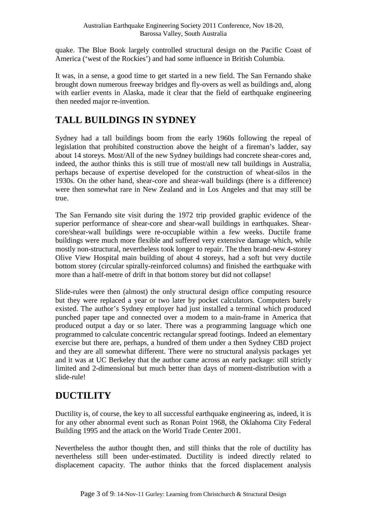quake. The Blue Book largely controlled structural design on the Pacific Coast of America ('west of the Rockies') and had some influence in British Columbia.

It was, in a sense, a good time to get started in a new field. The San Fernando shake brought down numerous freeway bridges and fly-overs as well as buildings and, along with earlier events in Alaska, made it clear that the field of earthquake engineering then needed major re-invention.

## **TALL BUILDINGS IN SYDNEY**

Sydney had a tall buildings boom from the early 1960s following the repeal of legislation that prohibited construction above the height of a fireman's ladder, say about 14 storeys. Most/All of the new Sydney buildings had concrete shear-cores and, indeed, the author thinks this is still true of most/all new tall buildings in Australia, perhaps because of expertise developed for the construction of wheat-silos in the 1930s. On the other hand, shear-core and shear-wall buildings (there is a difference) were then somewhat rare in New Zealand and in Los Angeles and that may still be true.

The San Fernando site visit during the 1972 trip provided graphic evidence of the superior performance of shear-core and shear-wall buildings in earthquakes. Shearcore/shear-wall buildings were re-occupiable within a few weeks. Ductile frame buildings were much more flexible and suffered very extensive damage which, while mostly non-structural, nevertheless took longer to repair. The then brand-new 4-storey Olive View Hospital main building of about 4 storeys, had a soft but very ductile bottom storey (circular spirally-reinforced columns) and finished the earthquake with more than a half-metre of drift in that bottom storey but did not collapse!

Slide-rules were then (almost) the only structural design office computing resource but they were replaced a year or two later by pocket calculators. Computers barely existed. The author's Sydney employer had just installed a terminal which produced punched paper tape and connected over a modem to a main-frame in America that produced output a day or so later. There was a programming language which one programmed to calculate concentric rectangular spread footings. Indeed an elementary exercise but there are, perhaps, a hundred of them under a then Sydney CBD project and they are all somewhat different. There were no structural analysis packages yet and it was at UC Berkeley that the author came across an early package: still strictly limited and 2-dimensional but much better than days of moment-distribution with a slide-rule!

## **DUCTILITY**

Ductility is, of course, the key to all successful earthquake engineering as, indeed, it is for any other abnormal event such as Ronan Point 1968, the Oklahoma City Federal Building 1995 and the attack on the World Trade Center 2001.

Nevertheless the author thought then, and still thinks that the role of ductility has nevertheless still been under-estimated. Ductility is indeed directly related to displacement capacity. The author thinks that the forced displacement analysis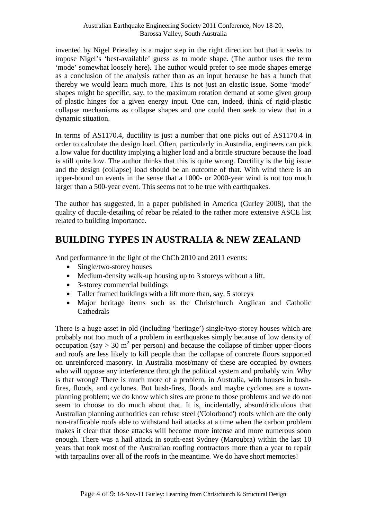invented by Nigel Priestley is a major step in the right direction but that it seeks to impose Nigel's 'best-available' guess as to mode shape. (The author uses the term 'mode' somewhat loosely here). The author would prefer to see mode shapes emerge as a conclusion of the analysis rather than as an input because he has a hunch that thereby we would learn much more. This is not just an elastic issue. Some 'mode' shapes might be specific, say, to the maximum rotation demand at some given group of plastic hinges for a given energy input. One can, indeed, think of rigid-plastic collapse mechanisms as collapse shapes and one could then seek to view that in a dynamic situation.

In terms of AS1170.4, ductility is just a number that one picks out of AS1170.4 in order to calculate the design load. Often, particularly in Australia, engineers can pick a low value for ductility implying a higher load and a brittle structure because the load is still quite low. The author thinks that this is quite wrong. Ductility is the big issue and the design (collapse) load should be an outcome of that. With wind there is an upper-bound on events in the sense that a 1000- or 2000-year wind is not too much larger than a 500-year event. This seems not to be true with earthquakes.

The author has suggested, in a paper published in America (Gurley 2008), that the quality of ductile-detailing of rebar be related to the rather more extensive ASCE list related to building importance.

#### **BUILDING TYPES IN AUSTRALIA & NEW ZEALAND**

And performance in the light of the ChCh 2010 and 2011 events:

- Single/two-storey houses
- Medium-density walk-up housing up to 3 storeys without a lift.
- 3-storey commercial buildings
- Taller framed buildings with a lift more than, say, 5 storeys
- Major heritage items such as the Christchurch Anglican and Catholic Cathedrals

There is a huge asset in old (including 'heritage') single/two-storey houses which are probably not too much of a problem in earthquakes simply because of low density of occupation (say  $> 30$  m<sup>2</sup> per person) and because the collapse of timber upper-floors and roofs are less likely to kill people than the collapse of concrete floors supported on unreinforced masonry. In Australia most/many of these are occupied by owners who will oppose any interference through the political system and probably win. Why is that wrong? There is much more of a problem, in Australia, with houses in bushfires, floods, and cyclones. But bush-fires, floods and maybe cyclones are a townplanning problem; we do know which sites are prone to those problems and we do not seem to choose to do much about that. It is, incidentally, absurd/ridiculous that Australian planning authorities can refuse steel ('Colorbond') roofs which are the only non-trafficable roofs able to withstand hail attacks at a time when the carbon problem makes it clear that those attacks will become more intense and more numerous soon enough. There was a hail attack in south-east Sydney (Maroubra) within the last 10 years that took most of the Australian roofing contractors more than a year to repair with tarpaulins over all of the roofs in the meantime. We do have short memories!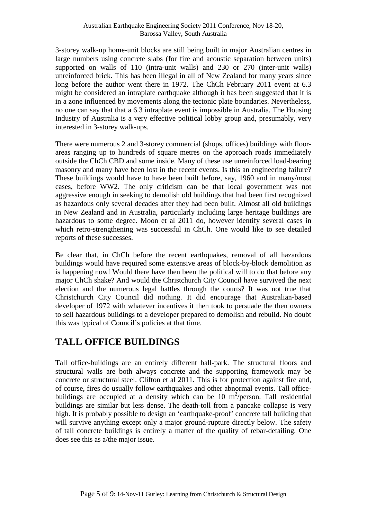3-storey walk-up home-unit blocks are still being built in major Australian centres in large numbers using concrete slabs (for fire and acoustic separation between units) supported on walls of 110 (intra-unit walls) and 230 or 270 (inter-unit walls) unreinforced brick. This has been illegal in all of New Zealand for many years since long before the author went there in 1972. The ChCh February 2011 event at 6.3 might be considered an intraplate earthquake although it has been suggested that it is in a zone influenced by movements along the tectonic plate boundaries. Nevertheless, no one can say that that a 6.3 intraplate event is impossible in Australia. The Housing Industry of Australia is a very effective political lobby group and, presumably, very interested in 3-storey walk-ups.

There were numerous 2 and 3-storey commercial (shops, offices) buildings with floorareas ranging up to hundreds of square metres on the approach roads immediately outside the ChCh CBD and some inside. Many of these use unreinforced load-bearing masonry and many have been lost in the recent events. Is this an engineering failure? These buildings would have to have been built before, say, 1960 and in many/most cases, before WW2. The only criticism can be that local government was not aggressive enough in seeking to demolish old buildings that had been first recognized as hazardous only several decades after they had been built. Almost all old buildings in New Zealand and in Australia, particularly including large heritage buildings are hazardous to some degree. Moon et al 2011 do, however identify several cases in which retro-strengthening was successful in ChCh. One would like to see detailed reports of these successes.

Be clear that, in ChCh before the recent earthquakes, removal of all hazardous buildings would have required some extensive areas of block-by-block demolition as is happening now! Would there have then been the political will to do that before any major ChCh shake? And would the Christchurch City Council have survived the next election and the numerous legal battles through the courts? It was not true that Christchurch City Council did nothing. It did encourage that Australian-based developer of 1972 with whatever incentives it then took to persuade the then owners to sell hazardous buildings to a developer prepared to demolish and rebuild. No doubt this was typical of Council's policies at that time.

## **TALL OFFICE BUILDINGS**

Tall office-buildings are an entirely different ball-park. The structural floors and structural walls are both always concrete and the supporting framework may be concrete or structural steel. Clifton et al 2011. This is for protection against fire and, of course, fires do usually follow earthquakes and other abnormal events. Tall officebuildings are occupied at a density which can be 10  $m^2$ /person. Tall residential buildings are similar but less dense. The death-toll from a pancake collapse is very high. It is probably possible to design an 'earthquake-proof' concrete tall building that will survive anything except only a major ground-rupture directly below. The safety of tall concrete buildings is entirely a matter of the quality of rebar-detailing. One does see this as a/the major issue.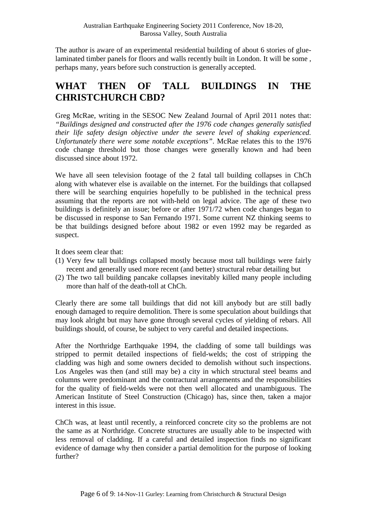The author is aware of an experimental residential building of about 6 stories of gluelaminated timber panels for floors and walls recently built in London. It will be some , perhaps many, years before such construction is generally accepted.

#### **WHAT THEN OF TALL BUILDINGS IN THE CHRISTCHURCH CBD?**

Greg McRae, writing in the SESOC New Zealand Journal of April 2011 notes that: *"Buildings designed and constructed after the 1976 code changes generally satisfied their life safety design objective under the severe level of shaking experienced. Unfortunately there were some notable exceptions"*. McRae relates this to the 1976 code change threshold but those changes were generally known and had been discussed since about 1972.

We have all seen television footage of the 2 fatal tall building collapses in ChCh along with whatever else is available on the internet. For the buildings that collapsed there will be searching enquiries hopefully to be published in the technical press assuming that the reports are not with-held on legal advice. The age of these two buildings is definitely an issue; before or after 1971/72 when code changes began to be discussed in response to San Fernando 1971. Some current NZ thinking seems to be that buildings designed before about 1982 or even 1992 may be regarded as suspect.

It does seem clear that:

- (1) Very few tall buildings collapsed mostly because most tall buildings were fairly recent and generally used more recent (and better) structural rebar detailing but
- (2) The two tall building pancake collapses inevitably killed many people including more than half of the death-toll at ChCh.

Clearly there are some tall buildings that did not kill anybody but are still badly enough damaged to require demolition. There is some speculation about buildings that may look alright but may have gone through several cycles of yielding of rebars. All buildings should, of course, be subject to very careful and detailed inspections.

After the Northridge Earthquake 1994, the cladding of some tall buildings was stripped to permit detailed inspections of field-welds; the cost of stripping the cladding was high and some owners decided to demolish without such inspections. Los Angeles was then (and still may be) a city in which structural steel beams and columns were predominant and the contractural arrangements and the responsibilities for the quality of field-welds were not then well allocated and unambiguous. The American Institute of Steel Construction (Chicago) has, since then, taken a major interest in this issue.

ChCh was, at least until recently, a reinforced concrete city so the problems are not the same as at Northridge. Concrete structures are usually able to be inspected with less removal of cladding. If a careful and detailed inspection finds no significant evidence of damage why then consider a partial demolition for the purpose of looking further?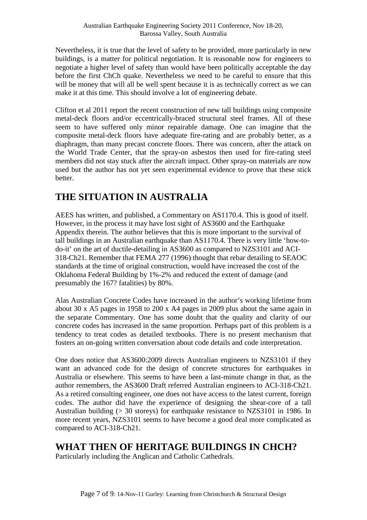Nevertheless, it is true that the level of safety to be provided, more particularly in new buildings, is a matter for political negotiation. It is reasonable now for engineers to negotiate a higher level of safety than would have been politically acceptable the day before the first ChCh quake. Nevertheless we need to be careful to ensure that this will be money that will all be well spent because it is as technically correct as we can make it at this time. This should involve a lot of engineering debate.

Clifton et al 2011 report the recent construction of new tall buildings using composite metal-deck floors and/or eccentrically-braced structural steel frames. All of these seem to have suffered only minor repairable damage. One can imagine that the composite metal-deck floors have adequate fire-rating and are probably better, as a diaphragm, than many precast concrete floors. There was concern, after the attack on the World Trade Center, that the spray-on asbestos then used for fire-rating steel members did not stay stuck after the aircraft impact. Other spray-on materials are now used but the author has not yet seen experimental evidence to prove that these stick better.

## **THE SITUATION IN AUSTRALIA**

AEES has written, and published, a Commentary on AS1170.4. This is good of itself. However, in the process it may have lost sight of AS3600 and the Earthquake Appendix therein. The author believes that this is more important to the survival of tall buildings in an Australian earthquake than AS1170.4. There is very little 'how-todo-it' on the art of ductile-detailing in AS3600 as compared to NZS3101 and ACI-318-Ch21. Remember that FEMA 277 (1996) thought that rebar detailing to SEAOC standards at the time of original construction, would have increased the cost of the Oklahoma Federal Building by 1%-2% and reduced the extent of damage (and presumably the 167? fatalities) by 80%.

Alas Australian Concrete Codes have increased in the author's working lifetime from about 30 x A5 pages in 1958 to 200 x A4 pages in 2009 plus about the same again in the separate Commentary. One has some doubt that the quality and clarity of our concrete codes has increased in the same proportion. Perhaps part of this problem is a tendency to treat codes as detailed textbooks. There is no present mechanism that fosters an on-going written conversation about code details and code interpretation.

One does notice that AS3600:2009 directs Australian engineers to NZS3101 if they want an advanced code for the design of concrete structures for earthquakes in Australia or elsewhere. This seems to have been a last-minute change in that, as the author remembers, the AS3600 Draft referred Australian engineers to ACI-318-Ch21. As a retired consulting engineer, one does not have access to the latest current, foreign codes. The author did have the experience of designing the shear-core of a tall Australian building (> 30 storeys) for earthquake resistance to NZS3101 in 1986. In more recent years, NZS3101 seems to have become a good deal more complicated as compared to ACI-318-Ch21.

### **WHAT THEN OF HERITAGE BUILDINGS IN CHCH?**

Particularly including the Anglican and Catholic Cathedrals.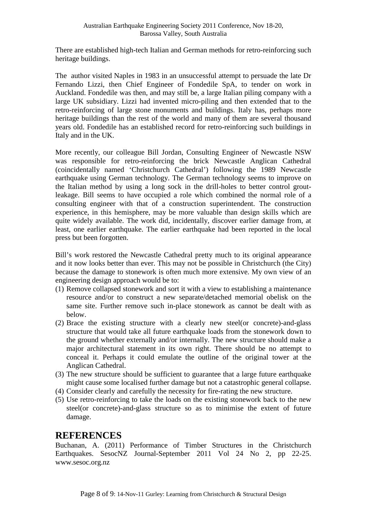There are established highterich Italian and German methods for retronforcing such heritage buildings.

The author visited Naples in 1983 in an unsuccessful attempt to persuade the late Dr Fernando Lizzi, then Chief Engineer of Fondedile SpA tender on work in Auckland. Fondedile was then, and may still be, a largentaliang company with a large UK subsidiary. Lizzi had invented microling and then extended that to the retro-reinforcing of large stone monuments and buildings. Italy has, perhaps more heritage buildings than the rest of the world and many of them external thousand years old. Fondedile has an established record for retational such buildings in Italy and in the UK.

More recently, our colleague Bill Jordan, Consulting Engineer of Newcastle NSW was responsible for retreeinforcing the brick Newcastle Anglican Cathedral (coincidentally named€Christchurch Cathedral following the 1989 Newcastle earthquake using German technology. The German technology seems to improve on the Italian method by using a long sock in the dridles to better control putleakage. Bill seems to have occupied a role which combined the normal role of a consulting engineer with that of a construction superintendent. The construction experience, in this hemisphere, may be more valuable than design skills which are quite widely available. The work did, incidentally, discover earlier damage, faim least, one earlier earthquake. The earlier earthquaked been reported in the local pressbut been forgotten.

Bill•s work restored the Newcastle Cathedral pretty much toriginal appearance and it now looks better than ever. This many bepossible in Christchurch (the City) because the damage to stoneworle from much more extensive. My own view of an engineering design approach would be to:

- $(1)$  Remove collapsed stonework desptation it with a view to establishing a maintenance resource and/or to construct a new separate/detached memorial obelisk on the same site. Further remove suchplace stonework as cannot be dealt with as below.
- $(2)$  Brace the existing structure with a clearl the steel (or concrete) and-glass structure that would takell future earthquake loads from the stonework down to the ground whether externally and/or internally. The new structure should make a major architectural statement in its own right. There should no attempt to conceal it. Perhaps it could emulate the outline of the original tower at the Anglican Cathedral.
- (3) The new structure should be sufficient to guarantee that a large future earthquake might cause some localised further damage but not strophic general collapse.
- $(4)$  Consider clearly and carefully the necessity for fating the new structure.
- (5) Use retrereinforcing to take the loads on the existing stonework back to the new steel(or concrete)and-glass structure so as to minimise the extent future damage.

#### REFERENCES

Buchanan, A. (2011) Performance of Timber Structures in the Christchurch Earthquakes. SesocNZ JournSebtember 2011 Vol 24 No 2, pp -22. [www.sesoc.org.n](www.sesoc.org.nz)z